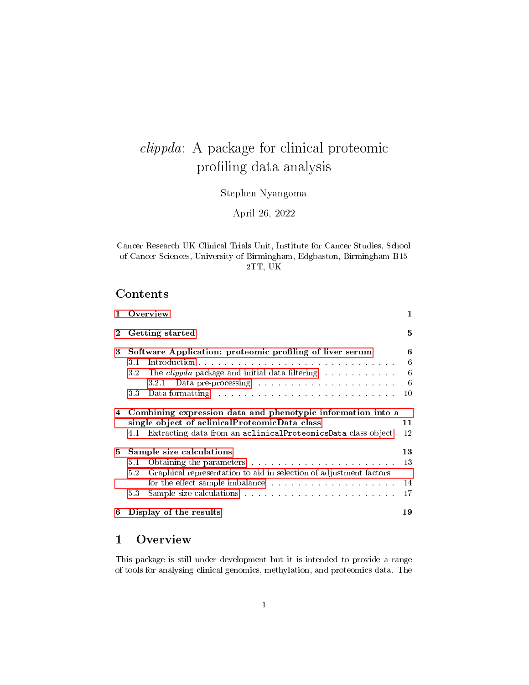# clippda: A package for clinical proteomic profiling data analysis

Stephen Nyangoma

April 26, 2022

Cancer Research UK Clinical Trials Unit, Institute for Cancer Studies, School of Cancer Sciences, University of Birmingham, Edgbaston, Birmingham B15 2TT, UK

### Contents

| 1.       | Overview                                                                                                                                                                                                                             |    |  |  |  |  |  |
|----------|--------------------------------------------------------------------------------------------------------------------------------------------------------------------------------------------------------------------------------------|----|--|--|--|--|--|
| $\bf{2}$ | Getting started                                                                                                                                                                                                                      |    |  |  |  |  |  |
| 3        | Software Application: proteomic profiling of liver serum                                                                                                                                                                             |    |  |  |  |  |  |
|          | 3.1                                                                                                                                                                                                                                  | 6  |  |  |  |  |  |
|          | The <i>clippda</i> package and initial data filtering<br>32                                                                                                                                                                          | 6  |  |  |  |  |  |
|          |                                                                                                                                                                                                                                      | 6  |  |  |  |  |  |
|          | Data formatting research and containing the containing the containing the containing of the containing of the containing of the containing of the containing of the containing of the containing of the containing of the cont<br>33 | 10 |  |  |  |  |  |
| 4        | Combining expression data and phenotypic information into a<br>single object of aclinicalProteomicData class<br>Extracting data from an aclinicalProteomicsData class object<br>4.1                                                  |    |  |  |  |  |  |
| 5        | Sample size calculations                                                                                                                                                                                                             |    |  |  |  |  |  |
|          | 5.1                                                                                                                                                                                                                                  | 13 |  |  |  |  |  |
|          | Graphical representation to aid in selection of adjustment factors<br>5.2                                                                                                                                                            |    |  |  |  |  |  |
|          | for the effect sample imbalance entering the set of the effect sample imbalance                                                                                                                                                      | 14 |  |  |  |  |  |
|          | 5.3                                                                                                                                                                                                                                  | 17 |  |  |  |  |  |
| 6        | Display of the results<br>19                                                                                                                                                                                                         |    |  |  |  |  |  |

## <span id="page-0-0"></span>1 Overview

This package is still under development but it is intended to provide a range of tools for analysing clinical genomics, methylation, and proteomics data. The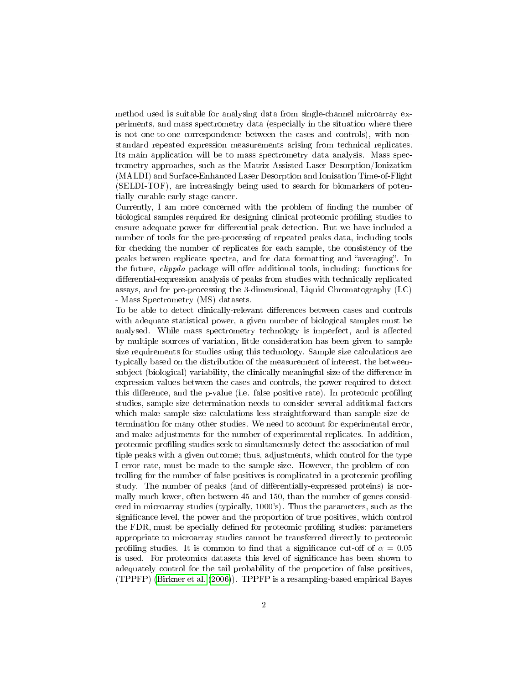method used is suitable for analysing data from single-channel microarray experiments, and mass spectrometry data (especially in the situation where there is not one-to-one correspondence between the cases and controls), with nonstandard repeated expression measurements arising from technical replicates. Its main application will be to mass spectrometry data analysis. Mass spectrometry approaches, such as the Matrix-Assisted Laser Desorption/Ionization (MALDI) and Surface-Enhanced Laser Desorption and Ionisation Time-of-Flight (SELDI-TOF), are increasingly being used to search for biomarkers of potentially curable early-stage cancer.

Currently, I am more concerned with the problem of finding the number of biological samples required for designing clinical proteomic proling studies to ensure adequate power for differential peak detection. But we have included a number of tools for the pre-processing of repeated peaks data, including tools for checking the number of replicates for each sample, the consistency of the peaks between replicate spectra, and for data formatting and "averaging". In the future, *clippda* package will offer additional tools, including: functions for differential-expression analysis of peaks from studies with technically replicated assays, and for pre-processing the 3-dimensional, Liquid Chromatography (LC) - Mass Spectrometry (MS) datasets.

To be able to detect clinically-relevant differences between cases and controls with adequate statistical power, a given number of biological samples must be analysed. While mass spectrometry technology is imperfect, and is affected by multiple sources of variation, little consideration has been given to sample size requirements for studies using this technology. Sample size calculations are typically based on the distribution of the measurement of interest, the betweensubject (biological) variability, the clinically meaningful size of the difference in expression values between the cases and controls, the power required to detect this difference, and the p-value (i.e. false positive rate). In proteomic profiling studies, sample size determination needs to consider several additional factors which make sample size calculations less straightforward than sample size determination for many other studies. We need to account for experimental error, and make adjustments for the number of experimental replicates. In addition, proteomic proling studies seek to simultaneously detect the association of multiple peaks with a given outcome; thus, adjustments, which control for the type I error rate, must be made to the sample size. However, the problem of controlling for the number of false positives is complicated in a proteomic profiling study. The number of peaks (and of differentially-expressed proteins) is normally much lower, often between 45 and 150, than the number of genes considered in microarray studies (typically, 1000's). Thus the parameters, such as the significance level, the power and the proportion of true positives, which control the FDR, must be specially defined for proteomic profiling studies: parameters appropriate to microarray studies cannot be transferred dirrectly to proteomic profiling studies. It is common to find that a significance cut-off of  $\alpha = 0.05$ is used. For proteomics datasets this level of signicance has been shown to adequately control for the tail probability of the proportion of false positives, (TPPFP) [\(Birkner et al.](#page-20-0) [\(2006\)](#page-20-0)). TPPFP is a resampling-based empirical Bayes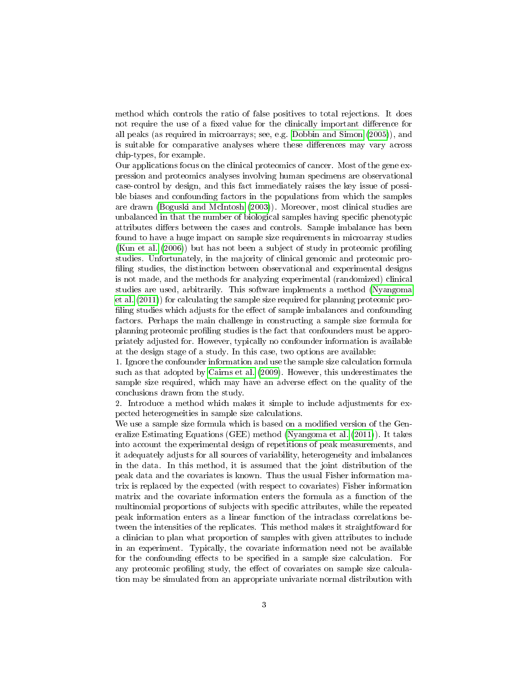method which controls the ratio of false positives to total rejections. It does not require the use of a fixed value for the clinically important difference for all peaks (as required in microarrays; see, e.g. [Dobbin and Simon](#page-21-0) [\(2005\)](#page-21-0)), and is suitable for comparative analyses where these differences may vary across chip-types, for example.

Our applications focus on the clinical proteomics of cancer. Most of the gene expression and proteomics analyses involving human specimens are observational case-control by design, and this fact immediately raises the key issue of possible biases and confounding factors in the populations from which the samples are drawn [\(Boguski and McIntosh](#page-20-1) [\(2003\)](#page-20-1)). Moreover, most clinical studies are unbalanced in that the number of biological samples having specific phenotypic attributes differs between the cases and controls. Sample imbalance has been found to have a huge impact on sample size requirements in microarray studies [\(Kun et al.](#page-21-1) [\(2006\)](#page-21-1)) but has not been a subject of study in proteomic proling studies. Unfortunately, in the majority of clinical genomic and proteomic pro filing studies, the distinction between observational and experimental designs is not made, and the methods for analyzing experimental (randomized) clinical studies are used, arbitrarily. This software implements a method [\(Nyangoma](#page-21-2) [et al.](#page-21-2) [\(2011\)](#page-21-2)) for calculating the sample size required for planning proteomic pro filing studies which adjusts for the effect of sample imbalances and confounding factors. Perhaps the main challenge in constructing a sample size formula for planning proteomic proling studies is the fact that confounders must be appropriately adjusted for. However, typically no confounder information is available at the design stage of a study. In this case, two options are available:

1. Ignore the confounder information and use the sample size calculation formula such as that adopted by [Cairns et al.](#page-21-3) [\(2009\)](#page-21-3). However, this underestimates the sample size required, which may have an adverse effect on the quality of the conclusions drawn from the study.

2. Introduce a method which makes it simple to include adjustments for expected heterogeneities in sample size calculations.

We use a sample size formula which is based on a modified version of the Generalize Estimating Equations (GEE) method [\(Nyangoma et al.](#page-21-2) [\(2011\)](#page-21-2)). It takes into account the experimental design of repetitions of peak measurements, and it adequately adjusts for all sources of variability, heterogeneity and imbalances in the data. In this method, it is assumed that the joint distribution of the peak data and the covariates is known. Thus the usual Fisher information matrix is replaced by the expected (with respect to covariates) Fisher information matrix and the covariate information enters the formula as a function of the multinomial proportions of subjects with specific attributes, while the repeated peak information enters as a linear function of the intraclass correlations between the intensities of the replicates. This method makes it straightfoward for a clinician to plan what proportion of samples with given attributes to include in an experiment. Typically, the covariate information need not be available for the confounding effects to be specified in a sample size calculation. For any proteomic profiling study, the effect of covariates on sample size calculation may be simulated from an appropriate univariate normal distribution with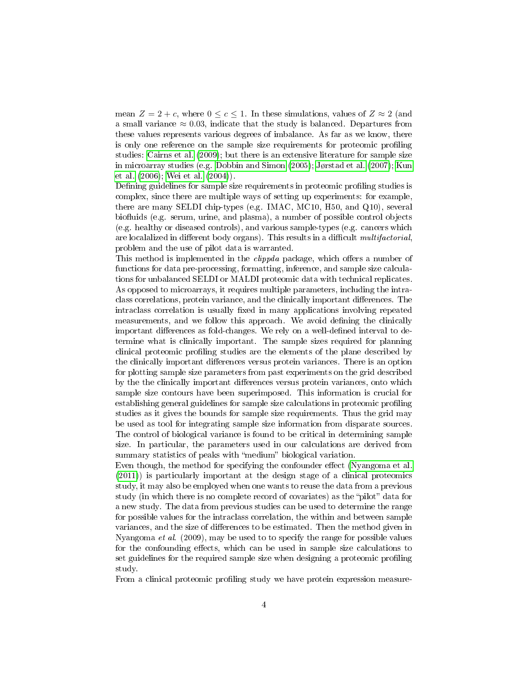mean  $Z = 2 + c$ , where  $0 \leq c \leq 1$ . In these simulations, values of  $Z \approx 2$  (and a small variance  $\approx 0.03$ , indicate that the study is balanced. Departures from these values represents various degrees of imbalance. As far as we know, there is only one reference on the sample size requirements for proteomic proling studies: [Cairns et al.](#page-21-3) [\(2009\)](#page-21-3); but there is an extensive literature for sample size in microarray studies (e.g. [Dobbin and Simon](#page-21-0) [\(2005\)](#page-21-0); [Jørstad et al.](#page-21-4) [\(2007\)](#page-21-4); [Kun](#page-21-1) [et al.](#page-21-1) [\(2006\)](#page-21-1); [Wei et al.](#page-21-5) [\(2004\)](#page-21-5)).

Defining guidelines for sample size requirements in proteomic profiling studies is complex, since there are multiple ways of setting up experiments: for example, there are many SELDI chip-types (e.g. IMAC, MC10, H50, and Q10), several biofluids (e.g. serum, urine, and plasma), a number of possible control objects (e.g. healthy or diseased controls), and various sample-types (e.g. cancers which are localalized in different body organs). This results in a difficult multifactorial, problem and the use of pilot data is warranted.

This method is implemented in the *clippda* package, which offers a number of functions for data pre-processing, formatting, inference, and sample size calculations for unbalanced SELDI or MALDI proteomic data with technical replicates. As opposed to microarrays, it requires multiple parameters, including the intraclass correlations, protein variance, and the clinically important differences. The intraclass correlation is usually fixed in many applications involving repeated measurements, and we follow this approach. We avoid defining the clinically important differences as fold-changes. We rely on a well-defined interval to determine what is clinically important. The sample sizes required for planning clinical proteomic profiling studies are the elements of the plane described by the clinically important differences versus protein variances. There is an option for plotting sample size parameters from past experiments on the grid described by the the clinically important differences versus protein variances, onto which sample size contours have been superimposed. This information is crucial for establishing general guidelines for sample size calculations in proteomic profiling studies as it gives the bounds for sample size requirements. Thus the grid may be used as tool for integrating sample size information from disparate sources. The control of biological variance is found to be critical in determining sample size. In particular, the parameters used in our calculations are derived from summary statistics of peaks with "medium" biological variation.

Even though, the method for specifying the confounder effect [\(Nyangoma et al.](#page-21-2) [\(2011\)](#page-21-2)) is particularly important at the design stage of a clinical proteomics study, it may also be employed when one wants to reuse the data from a previous study (in which there is no complete record of covariates) as the "pilot" data for a new study. The data from previous studies can be used to determine the range for possible values for the intraclass correlation, the within and between sample variances, and the size of differences to be estimated. Then the method given in Nyangoma et al. (2009), may be used to to specify the range for possible values for the confounding effects, which can be used in sample size calculations to set guidelines for the required sample size when designing a proteomic proling study.

From a clinical proteomic profiling study we have protein expression measure-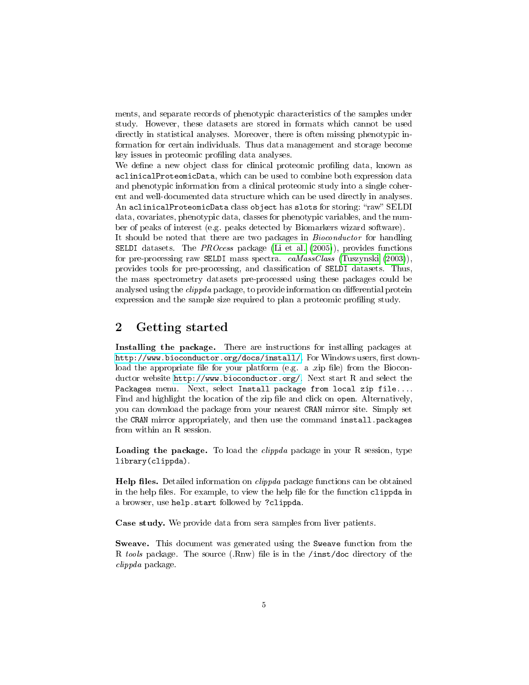ments, and separate records of phenotypic characteristics of the samples under study. However, these datasets are stored in formats which cannot be used directly in statistical analyses. Moreover, there is often missing phenotypic information for certain individuals. Thus data management and storage become key issues in proteomic profiling data analyses.

We define a new object class for clinical proteomic profiling data, known as aclinicalProteomicData, which can be used to combine both expression data and phenotypic information from a clinical proteomic study into a single coherent and well-documented data structure which can be used directly in analyses. An aclinicalProteomicData class object has slots for storing: "raw" SELDI data, covariates, phenotypic data, classes for phenotypic variables, and the number of peaks of interest (e.g. peaks detected by Biomarkers wizard software).

It should be noted that there are two packages in Bioconductor for handling **SELDI** datasets. The *PROcess* package [\(Li et al.](#page-21-6)  $(2005)$ ), provides functions for pre-processing raw SELDI mass spectra. caMassClass [\(Tuszynski](#page-21-7) [\(2003\)](#page-21-7)), provides tools for pre-processing, and classification of SELDI datasets. Thus, the mass spectrometry datasets pre-processed using these packages could be analysed using the *clippda* package, to provide information on differential protein expression and the sample size required to plan a proteomic profiling study.

### <span id="page-4-0"></span>2 Getting started

Installing the package. There are instructions for installing packages at [http://www.bioconductor.org/docs/install/.](http://www.bioconductor.org/docs/install/) For Windows users, first download the appropriate file for your platform (e.g. a .zip file) from the Bioconductor website [http://www.bioconductor.org/.](http://www.bioconductor.org/) Next start R and select the Packages menu. Next, select Install package from local zip file.... Find and highlight the location of the zip file and click on open. Alternatively, you can download the package from your nearest CRAN mirror site. Simply set the CRAN mirror appropriately, and then use the command install.packages from within an R session.

Loading the package. To load the *clippda* package in your R session, type library(clippda).

**Help files.** Detailed information on *clippda* package functions can be obtained in the help files. For example, to view the help file for the function clippda in a browser, use help.start followed by ?clippda.

Case study. We provide data from sera samples from liver patients.

Sweave. This document was generated using the Sweave function from the R tools package. The source (.Rnw) file is in the /inst/doc directory of the clippda package.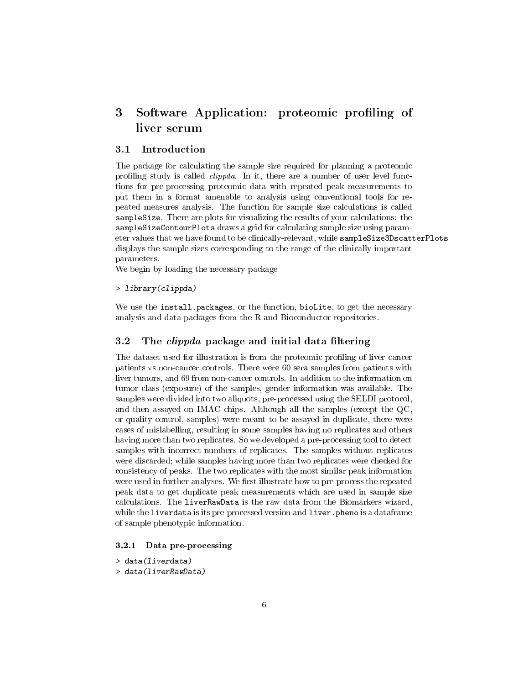# <span id="page-5-0"></span>3 Software Application: proteomic profiling of liver serum

### <span id="page-5-1"></span>3.1 Introduction

The package for calculating the sample size required for planning a proteomic profiling study is called *clippda*. In it, there are a number of user level functions for pre-processing proteomic data with repeated peak measurements to put them in a format amenable to analysis using conventional tools for repeated measures analysis. The function for sample size calculations is called sampleSize. There are plots for visualizing the results of your calculations: the sampleSizeContourPlots draws a grid for calculating sample size using parameter values that we have found to be clinically-relevant, while sampleSize3DscatterPlots displays the sample sizes corresponding to the range of the clinically important parameters.

We begin by loading the necessary package

> library(clippda)

We use the install.packages, or the function, bioLite, to get the necessary analysis and data packages from the R and Bioconductor repositories.

#### <span id="page-5-2"></span>3.2 The *clippda* package and initial data filtering

The dataset used for illustration is from the proteomic profiling of liver cancer patients vs non-cancer controls. There were 60 sera samples from patients with liver tumors, and 69 from non-cancer controls. In addition to the information on tumor class (exposure) of the samples, gender information was available. The samples were divided into two aliquots, pre-processed using the SELDI protocol, and then assayed on IMAC chips. Although all the samples (except the QC, or quality control, samples) were meant to be assayed in duplicate, there were cases of mislabelling, resulting in some samples having no replicates and others having more than two replicates. So we developed a pre-processing tool to detect samples with incorrect numbers of replicates. The samples without replicates were discarded; while samples having more than two replicates were checked for consistency of peaks. The two replicates with the most similar peak information were used in further analyses. We first illustrate how to pre-process the repeated peak data to get duplicate peak measurements which are used in sample size calculations. The liverRawData is the raw data from the Biomarkers wizard, while the liverdata is its pre-processed version and liver.pheno is a dataframe of sample phenotypic information.

#### <span id="page-5-3"></span>3.2.1 Data pre-processing

- > data(liverdata)
- > data(liverRawData)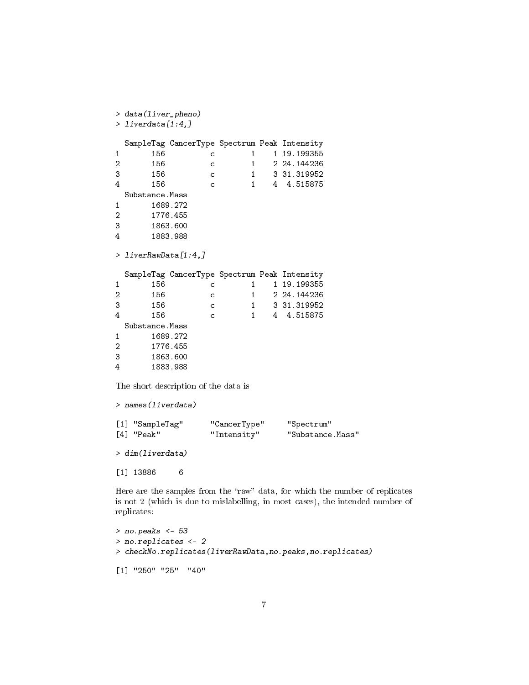```
> data(liver_pheno)
> liverdata[1:4,]
 SampleTag CancerType Spectrum Peak Intensity
1 156 c 1 19.199355
2 156 c 1 2 24.144236
3 156 c 1 3 31.319952
4 156 c 1 4 4.515875
 Substance.Mass
1 1689.272<br>2 1776.455
     2 1776.455
3 1863.600
4 1883.988
> liverRawData[1:4,]
 SampleTag CancerType Spectrum Peak Intensity
1 156 c 1 19.199355
2 156 c 1 2 24.144236
3 156 c 1 3 31.319952
4 156 c 1 4 4.515875
 Substance.Mass
1 1689.272
2 1776.455
3 1863.600
4 1883.988
The short description of the data is
> names(liverdata)
[1] "SampleTag" "CancerType" "Spectrum"
[4] "Peak" "Intensity" "Substance.Mass"
> dim(liverdata)
[1] 13886 6
```
Here are the samples from the "raw" data, for which the number of replicates is not 2 (which is due to mislabelling, in most cases), the intended number of replicates:

```
> no.peaks <- 53
> no.replicates <- 2
> checkNo.replicates(liverRawData,no.peaks,no.replicates)
[1] "250" "25" "40"
```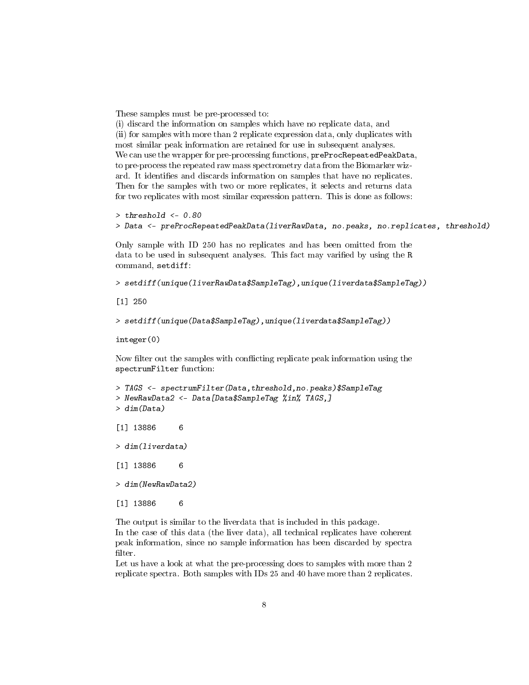These samples must be pre-processed to:

(i) discard the information on samples which have no replicate data, and (ii) for samples with more than 2 replicate expression data, only duplicates with most similar peak information are retained for use in subsequent analyses. We can use the wrapper for pre-processing functions, preProcRepeatedPeakData, to pre-process the repeated raw mass spectrometry data from the Biomarker wizard. It identifies and discards information on samples that have no replicates. Then for the samples with two or more replicates, it selects and returns data for two replicates with most similar expression pattern. This is done as follows:

```
> threshold <- 0.80
> Data <- preProcRepeatedPeakData(liverRawData, no.peaks, no.replicates, threshold)
```
Only sample with ID 250 has no replicates and has been omitted from the data to be used in subsequent analyses. This fact may varified by using the R command, setdiff:

```
> setdiff(unique(liverRawData$SampleTag),unique(liverdata$SampleTag))
```
[1] 250

```
> setdiff(unique(Data$SampleTag),unique(liverdata$SampleTag))
```
integer(0)

Now filter out the samples with conflicting replicate peak information using the spectrumFilter function:

```
> TAGS <- spectrumFilter(Data,threshold,no.peaks)$SampleTag
> NewRawData2 <- Data[Data$SampleTag %in% TAGS,]
> dim(Data)
[1] 13886 6
> dim(liverdata)
[1] 13886 6
> dim(NewRawData2)
[1] 13886 6
```
The output is similar to the liverdata that is included in this package.

In the case of this data (the liver data), all technical replicates have coherent peak information, since no sample information has been discarded by spectra filter.

Let us have a look at what the pre-processing does to samples with more than 2 replicate spectra. Both samples with IDs 25 and 40 have more than 2 replicates.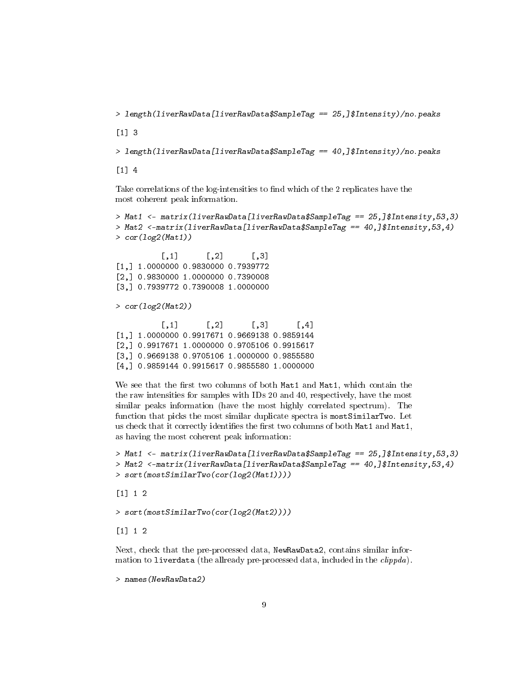> length(liverRawData[liverRawData\$SampleTag == 25,]\$Intensity)/no.peaks

[1] 3

```
> length(liverRawData[liverRawData$SampleTag == 40,]$Intensity)/no.peaks
```
[1] 4

Take correlations of the log-intensities to find which of the 2 replicates have the most coherent peak information.

```
> Mat1 <- matrix(liverRawData[liverRawData$SampleTag == 25,]$Intensity,53,3)
> Mat2 <-matrix(liverRawData[liverRawData$SampleTag == 40,]$Intensity,53,4)
> cor(log2(Mat1))
```
 $[,1]$   $[,2]$   $[,3]$ [1,] 1.0000000 0.9830000 0.7939772 [2,] 0.9830000 1.0000000 0.7390008 [3,] 0.7939772 0.7390008 1.0000000

> cor(log2(Mat2))

 $[0,1]$   $[0,2]$   $[0,3]$   $[0,4]$ [1,] 1.0000000 0.9917671 0.9669138 0.9859144 [2,] 0.9917671 1.0000000 0.9705106 0.9915617 [3,] 0.9669138 0.9705106 1.0000000 0.9855580 [4,] 0.9859144 0.9915617 0.9855580 1.0000000

We see that the first two columns of both Mat1 and Mat1, which contain the the raw intensities for samples with IDs 20 and 40, respectively, have the most similar peaks information (have the most highly correlated spectrum). The function that picks the most similar duplicate spectra is mostSimilarTwo. Let us check that it correctly identifies the first two columns of both Mat1 and Mat1, as having the most coherent peak information:

```
> Mat1 <- matrix(liverRawData[liverRawData$SampleTag == 25,]$Intensity,53,3)
> Mat2 <-matrix(liverRawData[liverRawData$SampleTag == 40,]$Intensity,53,4)
> sort(mostSimilarTwo(cor(log2(Mat1))))
```
[1] 1 2

> sort(mostSimilarTwo(cor(log2(Mat2))))

[1] 1 2

Next, check that the pre-processed data, NewRawData2, contains similar information to liverdata (the allready pre-processed data, included in the *clippda*).

> names(NewRawData2)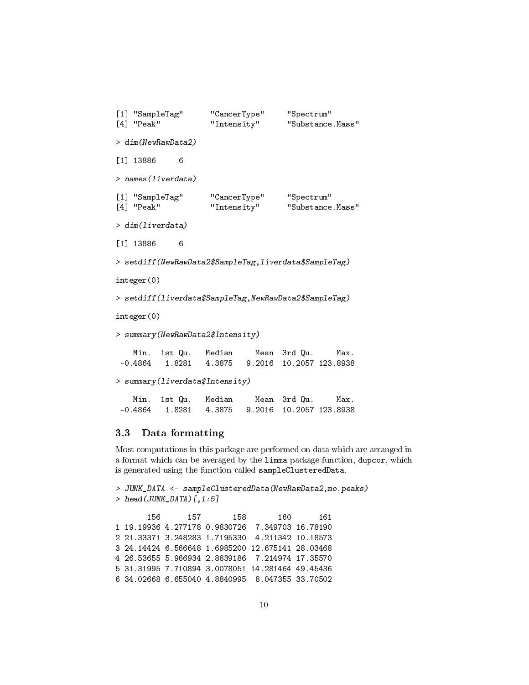```
[1] "SampleTag" "CancerType" "Spectrum"
[4] "Peak" "Intensity" "Substance.Mass"
> dim(NewRawData2)
[1] 13886 6
> names(liverdata)
[1] "SampleTag" "CancerType" "Spectrum"
[4] "Peak" "Intensity" "Substance.Mass"
> dim(liverdata)
[1] 13886 6
> setdiff(NewRawData2$SampleTag,liverdata$SampleTag)
integer(0)
> setdiff(liverdata$SampleTag,NewRawData2$SampleTag)
integer(0)
> summary(NewRawData2$Intensity)
   Min. 1st Qu. Median Mean 3rd Qu. Max.
 -0.4864 1.8281 4.3875 9.2016 10.2057 123.8938
> summary(liverdata$Intensity)
   Min. 1st Qu. Median Mean 3rd Qu. Max.
 -0.4864 1.8281 4.3875 9.2016 10.2057 123.8938
```
#### <span id="page-9-0"></span>3.3 Data formatting

Most computations in this package are performed on data which are arranged in a format which can be averaged by the limma package function, dupcor, which is generated using the function called sampleClusteredData.

```
> JUNK_DATA <- sampleClusteredData(NewRawData2,no.peaks)
> head(JUNK_DATA)[, 1:5]156 157 158 160 161
1 19.19936 4.277178 0.9830726 7.349703 16.78190
2 21.33371 3.248283 1.7195330 4.211342 10.18573
3 24.14424 6.566648 1.6985200 12.675141 28.03468
4 26.53655 5.966934 2.8839186 7.214974 17.35570
5 31.31995 7.710894 3.0078051 14.281464 49.45436
6 34.02668 6.655040 4.8840995 8.047355 33.70502
```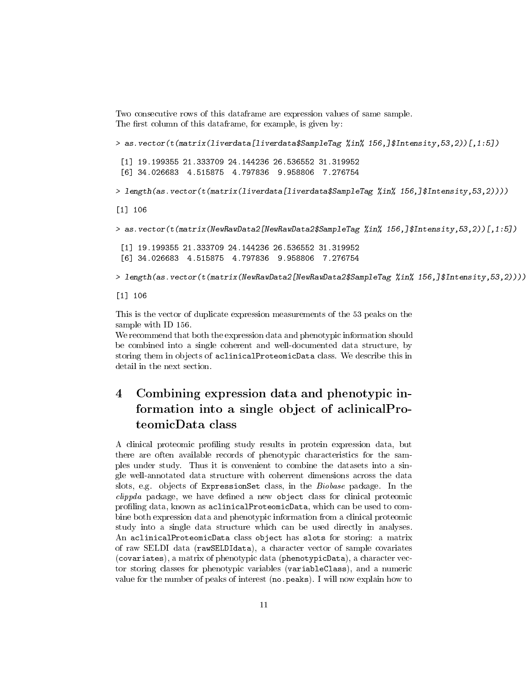Two consecutive rows of this dataframe are expression values of same sample. The first column of this dataframe, for example, is given by:

> as.vector(t(matrix(liverdata[liverdata\$SampleTag %in% 156,]\$Intensity,53,2))[,1:5]) [1] 19.199355 21.333709 24.144236 26.536552 31.319952 [6] 34.026683 4.515875 4.797836 9.958806 7.276754 > length(as.vector(t(matrix(liverdata[liverdata\$SampleTag %in% 156,]\$Intensity,53,2)))) [1] 106

> as.vector(t(matrix(NewRawData2[NewRawData2\$SampleTag %in% 156,]\$Intensity,53,2))[,1:5])

[1] 19.199355 21.333709 24.144236 26.536552 31.319952 [6] 34.026683 4.515875 4.797836 9.958806 7.276754

> length(as.vector(t(matrix(NewRawData2[NewRawData2\$SampleTag %in% 156,]\$Intensity,53,2))))

[1] 106

This is the vector of duplicate expression measurements of the 53 peaks on the sample with ID 156.

We recommend that both the expression data and phenotypic information should be combined into a single coherent and well-documented data structure, by storing them in objects of aclinicalProteomicData class. We describe this in detail in the next section.

# <span id="page-10-0"></span>4 Combining expression data and phenotypic information into a single object of aclinicalProteomicData class

A clinical proteomic proling study results in protein expression data, but there are often available records of phenotypic characteristics for the samples under study. Thus it is convenient to combine the datasets into a single well-annotated data structure with coherrent dimensions across the data slots, e.g. objects of ExpressionSet class, in the Biobase package. In the  $clipped$  package, we have defined a new object class for clinical proteomic profiling data, known as aclinicalProteomicData, which can be used to combine both expression data and phenotypic information from a clinical proteomic study into a single data structure which can be used directly in analyses. An aclinicalProteomicData class object has slots for storing: a matrix of raw SELDI data (rawSELDIdata), a character vector of sample covariates (covariates), a matrix of phenotypic data (phenotypicData), a character vector storing classes for phenotypic variables (variableClass), and a numeric value for the number of peaks of interest (no.peaks). I will now explain how to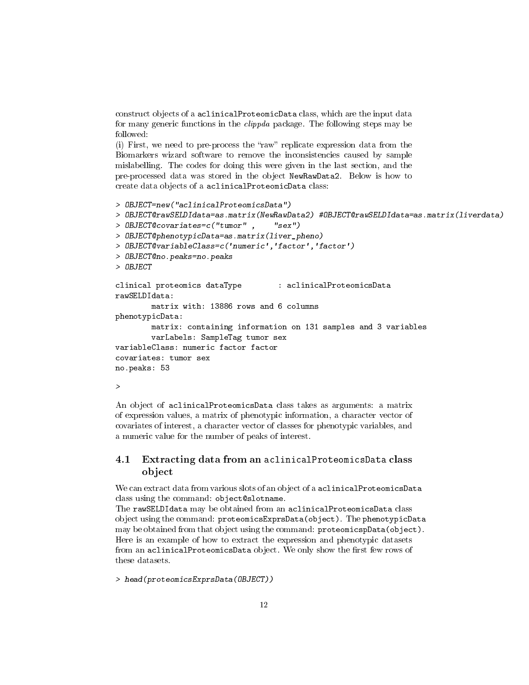construct objects of a aclinicalProteomicData class, which are the input data for many generic functions in the clippda package. The following steps may be followed:

(i) First, we need to pre-process the "raw" replicate expression data from the Biomarkers wizard software to remove the inconsistencies caused by sample mislabelling. The codes for doing this were given in the last section, and the pre-processed data was stored in the object NewRawData2. Below is how to create data objects of a aclinicalProteomicData class:

```
> OBJECT=new("aclinicalProteomicsData")
> OBJECT@rawSELDIdata=as.matrix(NewRawData2) #OBJECT@rawSELDIdata=as.matrix(liverdata)
> OBJECT@covariates=c("tumor" , "sex")
> OBJECT@phenotypicData=as.matrix(liver_pheno)
> OBJECT@variableClass=c('numeric','factor','factor')
> OBJECT@no.peaks=no.peaks
> OBJECT
clinical proteomics dataType : aclinicalProteomicsData
rawSELDIdata:
        matrix with: 13886 rows and 6 columns
phenotypicData:
       matrix: containing information on 131 samples and 3 variables
        varLabels: SampleTag tumor sex
variableClass: numeric factor factor
covariates: tumor sex
no.peaks: 53
>
```
An object of aclinicalProteomicsData class takes as arguments: a matrix of expression values, a matrix of phenotypic information, a character vector of covariates of interest, a character vector of classes for phenotypic variables, and a numeric value for the number of peaks of interest.

#### <span id="page-11-0"></span>4.1 Extracting data from an aclinicalProteomicsData class object

We can extract data from various slots of an object of a aclinical ProteomicsData class using the command: object@slotname.

The rawSELDIdata may be obtained from an aclinicalProteomicsData class object using the command: proteomicsExprsData(object). The phenotypicData may be obtained from that object using the command: proteomicspData(object). Here is an example of how to extract the expression and phenotypic datasets from an aclinicalProteomicsData object. We only show the first few rows of these datasets.

> head(proteomicsExprsData(OBJECT))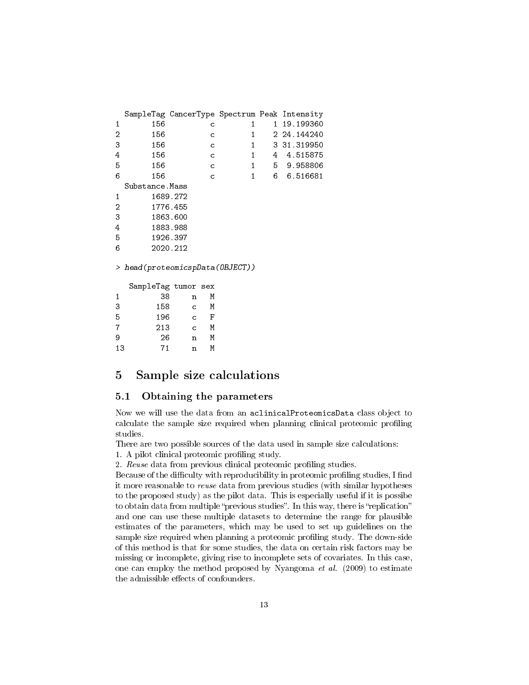|    | SampleTag CancerType Spectrum Peak Intensity |              |                |              |   |             |  |  |
|----|----------------------------------------------|--------------|----------------|--------------|---|-------------|--|--|
| 1  | 156                                          |              | с              | 1            |   | 1 19.199360 |  |  |
| 2  | 156                                          |              | C              | 1            |   | 2 24.144240 |  |  |
| 3  | 156                                          |              | C              | 1            |   | 3 31.319950 |  |  |
| 4  | 156                                          |              | C              | 1            |   | 4 4.515875  |  |  |
| 5  | 156                                          |              | C              | $\mathbf{1}$ |   | 5 9.958806  |  |  |
| 6  | 156                                          |              | C              | $\mathbf{1}$ | 6 | 6.516681    |  |  |
|    | Substance. Mass                              |              |                |              |   |             |  |  |
| 1  |                                              | 1689.272     |                |              |   |             |  |  |
| 2  |                                              | 1776.455     |                |              |   |             |  |  |
| 3  |                                              | 1863.600     |                |              |   |             |  |  |
| 4  | 1883.988                                     |              |                |              |   |             |  |  |
| 5  |                                              | 1926.397     |                |              |   |             |  |  |
| 6  |                                              | 2020.212     |                |              |   |             |  |  |
|    | > head(proteomicspData(OBJECT))              |              |                |              |   |             |  |  |
|    | SampleTag tumor sex                          |              |                |              |   |             |  |  |
| 1  | 38                                           | n            | M              |              |   |             |  |  |
| 3  | 158                                          | $\mathsf{C}$ | M              |              |   |             |  |  |
| 5  | 196                                          | $\mathsf{C}$ | $\overline{F}$ |              |   |             |  |  |
| 7  | 213                                          | C            | M              |              |   |             |  |  |
| 9  | 26                                           | n            | M              |              |   |             |  |  |
| 13 | 71                                           | n            | М              |              |   |             |  |  |

### <span id="page-12-0"></span>5 Sample size calculations

### <span id="page-12-1"></span>5.1 Obtaining the parameters

Now we will use the data from an aclinicalProteomicsData class object to calculate the sample size required when planning clinical proteomic profiling studies.

There are two possible sources of the data used in sample size calculations: 1. A pilot clinical proteomic profiling study.

2. Reuse data from previous clinical proteomic profiling studies.

Because of the difficulty with reproducibility in proteomic profiling studies, I find it more reasonable to reuse data from previous studies (with similar hypotheses to the proposed study) as the pilot data. This is especially useful if it is possibe to obtain data from multiple "previous studies". In this way, there is "replication" and one can use these multiple datasets to determine the range for plausible estimates of the parameters, which may be used to set up guidelines on the sample size required when planning a proteomic profiling study. The down-side of this method is that for some studies, the data on certain risk factors may be missing or incomplete, giving rise to incomplete sets of covariates. In this case, one can employ the method proposed by Nyangoma *et al.* (2009) to estimate the admissible effects of confounders.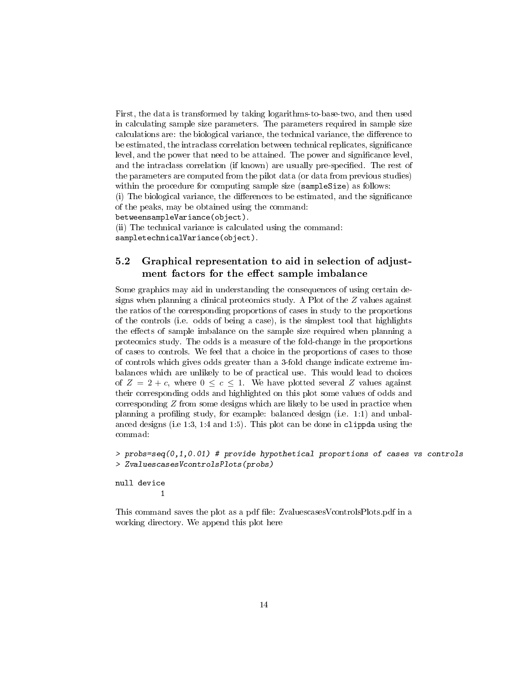First, the data is transformed by taking logarithms-to-base-two, and then used in calculating sample size parameters. The parameters required in sample size calculations are: the biological variance, the technical variance, the difference to be estimated, the intraclass correlation between technical replicates, signicance level, and the power that need to be attained. The power and signicance level, and the intraclass correlation (if known) are usually pre-specified. The rest of the parameters are computed from the pilot data (or data from previous studies) within the procedure for computing sample size (sampleSize) as follows:

 $(i)$  The biological variance, the differences to be estimated, and the significance of the peaks, may be obtained using the command:

betweensampleVariance(object).

(ii) The technical variance is calculated using the command:

sampletechnicalVariance(object).

### <span id="page-13-0"></span>5.2 Graphical representation to aid in selection of adjustment factors for the effect sample imbalance

Some graphics may aid in understanding the consequences of using certain designs when planning a clinical proteomics study. A Plot of the Z values against the ratios of the corresponding proportions of cases in study to the proportions of the controls (i.e. odds of being a case), is the simplest tool that highlights the effects of sample imbalance on the sample size required when planning a proteomics study. The odds is a measure of the fold-change in the proportions of cases to controls. We feel that a choice in the proportions of cases to those of controls which gives odds greater than a 3-fold change indicate extreme imbalances which are unlikely to be of practical use. This would lead to choices of  $Z = 2 + c$ , where  $0 \le c \le 1$ . We have plotted several Z values against their corresponding odds and highlighted on this plot some values of odds and corresponding Z from some designs which are likely to be used in practice when planning a profiling study, for example: balanced design (i.e. 1:1) and unbalanced designs (i.e 1:3, 1:4 and 1:5). This plot can be done in clippda using the commad:

```
> probs=seq(0,1,0.01) # provide hypothetical proportions of cases vs controls
> ZvaluescasesVcontrolsPlots(probs)
```

```
null device
           1
```
This command saves the plot as a pdf file: ZvaluescasesVcontrolsPlots.pdf in a working directory. We append this plot here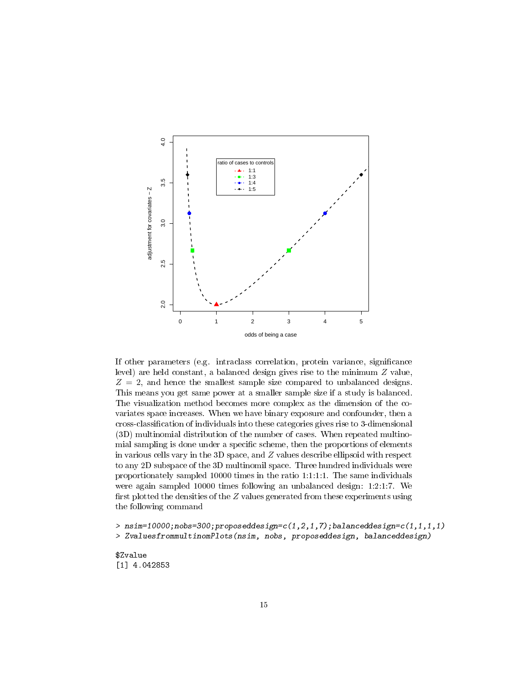

If other parameters (e.g. intraclass correlation, protein variance, signicance level) are held constant, a balanced design gives rise to the minimum  $Z$  value,  $Z = 2$ , and hence the smallest sample size compared to unbalanced designs. This means you get same power at a smaller sample size if a study is balanced. The visualization method becomes more complex as the dimension of the covariates space increases. When we have binary exposure and confounder, then a cross-classification of individuals into these categories gives rise to 3-dimensional (3D) multinomial distribution of the number of cases. When repeated multinomial sampling is done under a specific scheme, then the proportions of elements in various cells vary in the 3D space, and Z values describe ellipsoid with respect to any 2D subspace of the 3D multinomil space. Three hundred individuals were proportionately sampled 10000 times in the ratio 1:1:1:1. The same individuals were again sampled 10000 times following an unbalanced design: 1:2:1:7. We first plotted the densities of the  $Z$  values generated from these experiments using the following command

> nsim=10000;nobs=300;proposeddesign=c(1,2,1,7);balanceddesign=c(1,1,1,1) > ZvaluesfrommultinomPlots(nsim, nobs, proposeddesign, balanceddesign)

\$Zvalue [1] 4.042853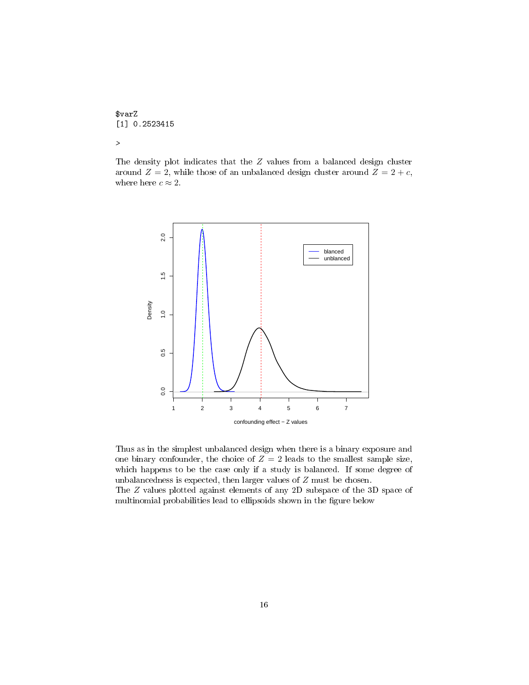\$varZ [1] 0.2523415 >

The density plot indicates that the Z values from a balanced design cluster around  $Z = 2$ , while those of an unbalanced design cluster around  $Z = 2 + c$ , where here  $c \approx 2$ .



Thus as in the simplest unbalanced design when there is a binary exposure and one binary confounder, the choice of  $Z = 2$  leads to the smallest sample size, which happens to be the case only if a study is balanced. If some degree of unbalancedness is expected, then larger values of Z must be chosen.

The Z values plotted against elements of any 2D subspace of the 3D space of multinomial probabilities lead to ellipsoids shown in the figure below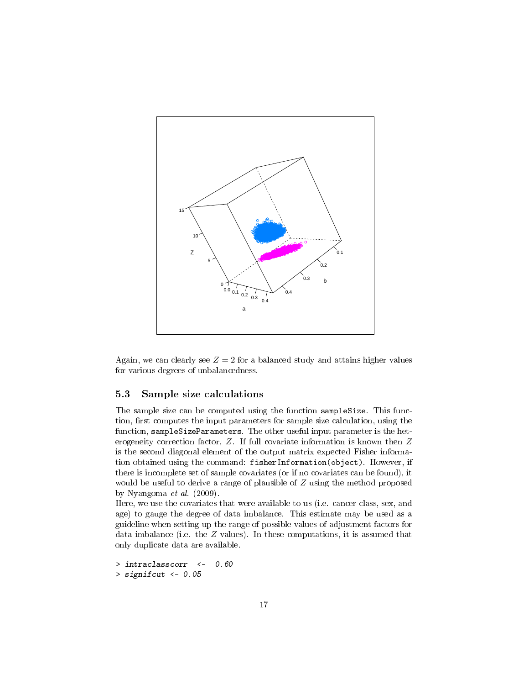

Again, we can clearly see  $Z = 2$  for a balanced study and attains higher values for various degrees of unbalancedness.

### <span id="page-16-0"></span>5.3 Sample size calculations

The sample size can be computed using the function sampleSize. This function, first computes the input parameters for sample size calculation, using the function, sampleSizeParameters. The other useful input parameter is the heterogeneity correction factor, Z. If full covariate information is known then Z is the second diagonal element of the output matrix expected Fisher information obtained using the command: fisherInformation(object). However, if there is incomplete set of sample covariates (or if no covariates can be found), it would be useful to derive a range of plausible of Z using the method proposed by Nyangoma et al. (2009).

Here, we use the covariates that were available to us (i.e. cancer class, sex, and age) to gauge the degree of data imbalance. This estimate may be used as a guideline when setting up the range of possible values of adjustment factors for data imbalance (i.e. the  $Z$  values). In these computations, it is assumed that only duplicate data are available.

```
> intraclasscorr <- 0.60
> signifcut <- 0.05
```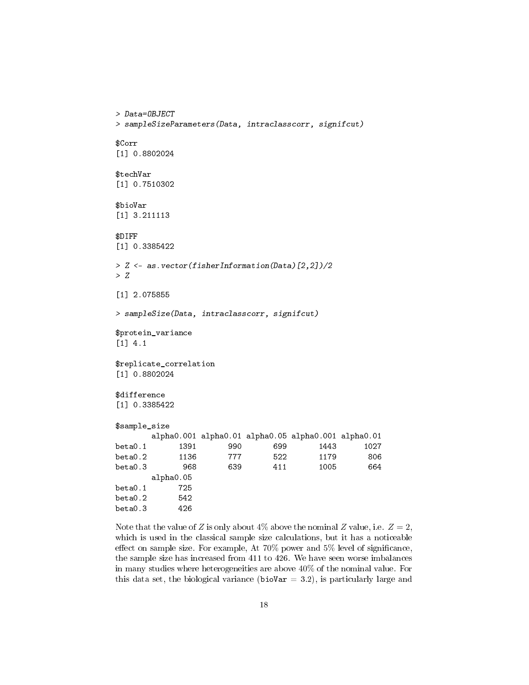```
> Data=OBJECT
> sampleSizeParameters(Data, intraclasscorr, signifcut)
$Corr
[1] 0.8802024
$techVar
[1] 0.7510302
$bioVar
[1] 3.211113
$DIFF
[1] 0.3385422
> Z <- as.vector(fisherInformation(Data)[2,2])/2
> Z
[1] 2.075855
> sampleSize(Data, intraclasscorr, signifcut)
$protein_variance
[1] 4.1
$replicate_correlation
[1] 0.8802024
$difference
[1] 0.3385422
$sample_size
      alpha0.001 alpha0.01 alpha0.05 alpha0.001 alpha0.01
beta0.1 1391 990 699 1443 1027
beta0.2 1136 777 522 1179 806
beta0.3 968 639 411 1005 664
      alpha0.05
beta0.1 725
beta0.2 542
beta0.3 426
```
Note that the value of Z is only about  $4\%$  above the nominal Z value, i.e.  $Z = 2$ , which is used in the classical sample size calculations, but it has a noticeable effect on sample size. For example, At  $70\%$  power and  $5\%$  level of significance, the sample size has increased from 411 to 426. We have seen worse imbalances in many studies where heterogeneities are above 40% of the nominal value. For this data set, the biological variance (bioVar  $=$  3.2), is particularly large and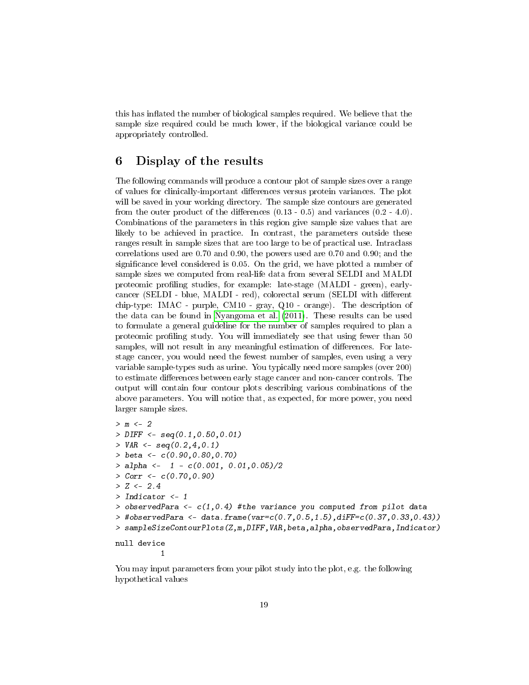this has inflated the number of biological samples required. We believe that the sample size required could be much lower, if the biological variance could be appropriately controlled.

### <span id="page-18-0"></span>6 Display of the results

The following commands will produce a contour plot of sample sizes over a range of values for clinically-important differences versus protein variances. The plot will be saved in your working directory. The sample size contours are generated from the outer product of the differences  $(0.13 - 0.5)$  and variances  $(0.2 - 4.0)$ . Combinations of the parameters in this region give sample size values that are likely to be achieved in practice. In contrast, the parameters outside these ranges result in sample sizes that are too large to be of practical use. Intraclass correlations used are 0.70 and 0.90, the powers used are 0.70 and 0.90; and the signicance level considered is 0.05. On the grid, we have plotted a number of sample sizes we computed from real-life data from several SELDI and MALDI proteomic profiling studies, for example: late-stage (MALDI - green), earlycancer (SELDI - blue, MALDI - red), colorectal serum (SELDI with different chip-type: IMAC - purple, CM10 - gray, Q10 - orange). The description of the data can be found in [Nyangoma et al.](#page-21-2) [\(2011\)](#page-21-2). These results can be used to formulate a general guideline for the number of samples required to plan a proteomic profiling study. You will immediately see that using fewer than 50 samples, will not result in any meaningful estimation of differences. For latestage cancer, you would need the fewest number of samples, even using a very variable sample-types such as urine. You typically need more samples (over 200) to estimate differences between early stage cancer and non-cancer controls. The output will contain four contour plots describing various combinations of the above parameters. You will notice that, as expected, for more power, you need larger sample sizes.

```
> m <- 2
> DIFF \leq seq(0.1,0.50,0.01)
> VAR \leftarrow seq(0.2, 4, 0.1)> beta <- c(0.90,0.80,0.70)
> alpha <- 1 - c(0.001, 0.01, 0.05)/2
> Corr <- c(0.70,0.90)
> Z \le 2.4> Indicator <- 1
> observedPara <- c(1,0.4) #the variance you computed from pilot data
> #observedPara <- data.frame(var=c(0.7,0.5,1.5),diFF=c(0.37,0.33,0.43))
> sampleSizeContourPlots(Z,m,DIFF,VAR,beta,alpha,observedPara,Indicator)
null device
```
1

You may input parameters from your pilot study into the plot, e.g. the following hypothetical values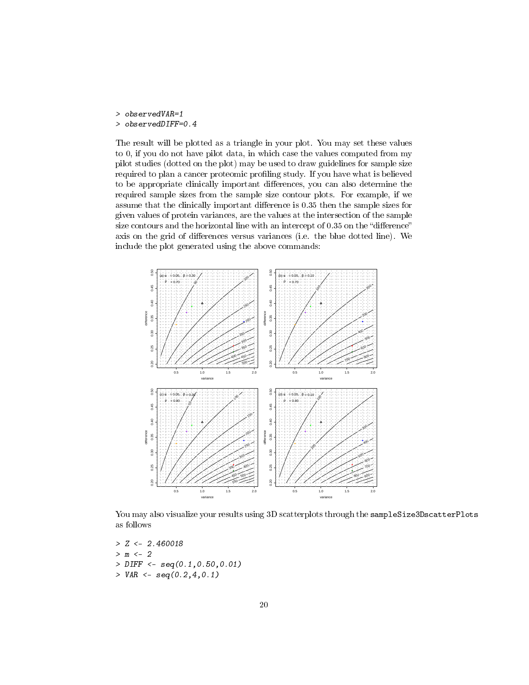> observedVAR=1

### > observedDIFF=0.4

The result will be plotted as a triangle in your plot. You may set these values to 0, if you do not have pilot data, in which case the values computed from my pilot studies (dotted on the plot) may be used to draw guidelines for sample size required to plan a cancer proteomic profiling study. If you have what is believed to be appropriate clinically important differences, you can also determine the required sample sizes from the sample size contour plots. For example, if we assume that the clinically important difference is 0.35 then the sample sizes for given values of protein variances, are the values at the intersection of the sample size contours and the horizontal line with an intercept of  $0.35$  on the "difference" axis on the grid of differences versus variances (i.e. the blue dotted line). We include the plot generated using the above commands:



You may also visualize your results using 3D scatterplots through the sampleSize3DscatterPlots as follows

 $> Z < -2.460018$  $> m < -2$ > DIFF <- seq(0.1,0.50,0.01)  $>$  VAR  $\leq$  seq(0.2,4,0.1)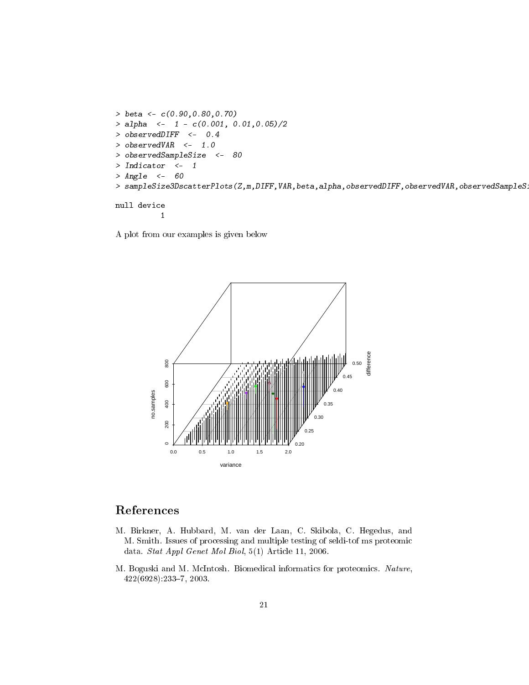```
> beta <- c(0.90,0.80,0.70)
> alpha <- 1 - c(0.001, 0.01, 0.05)/2
> observedDIFF <- 0.4
> observedVAR <- 1.0
> observedSampleSize <- 80
> Indicator <- 1
> Angle <- 60
> sampleSize3DscatterPlots(Z,m,DIFF,VAR,beta,alpha,observedDIFF,observedVAR,observedSampleS
null device
         1
```
A plot from our examples is given below



# References

- <span id="page-20-0"></span>M. Birkner, A. Hubbard, M. van der Laan, C. Skibola, C. Hegedus, and M. Smith. Issues of processing and multiple testing of seldi-tof ms proteomic data. Stat Appl Genet Mol Biol, 5(1) Article 11, 2006.
- <span id="page-20-1"></span>M. Boguski and M. McIntosh. Biomedical informatics for proteomics. Nature, 422(6928):2337, 2003.